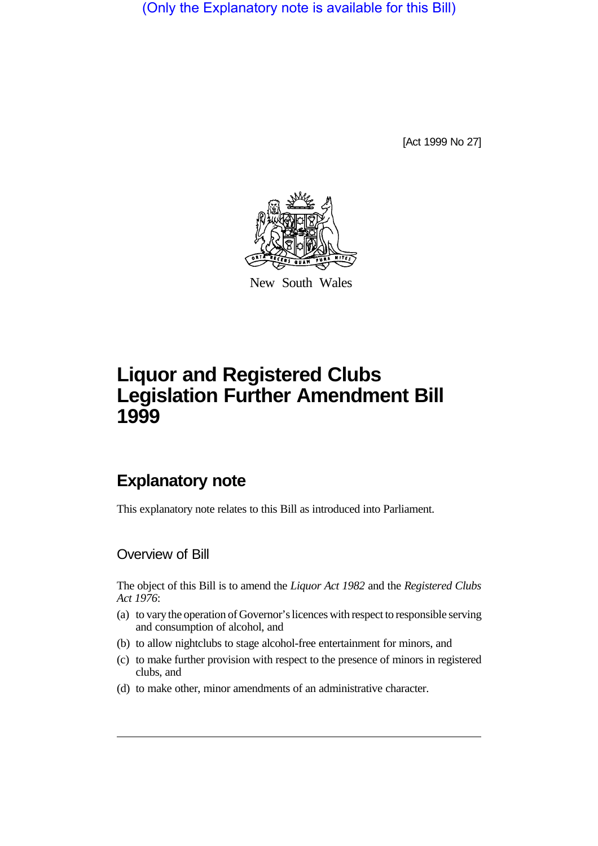(Only the Explanatory note is available for this Bill)

[Act 1999 No 27]



New South Wales

# **Liquor and Registered Clubs Legislation Further Amendment Bill 1999**

# **Explanatory note**

This explanatory note relates to this Bill as introduced into Parliament.

### Overview of Bill

The object of this Bill is to amend the *Liquor Act 1982* and the *Registered Clubs Act 1976*:

- (a) to vary the operation of Governor's licences with respect to responsible serving and consumption of alcohol, and
- (b) to allow nightclubs to stage alcohol-free entertainment for minors, and
- (c) to make further provision with respect to the presence of minors in registered clubs, and
- (d) to make other, minor amendments of an administrative character.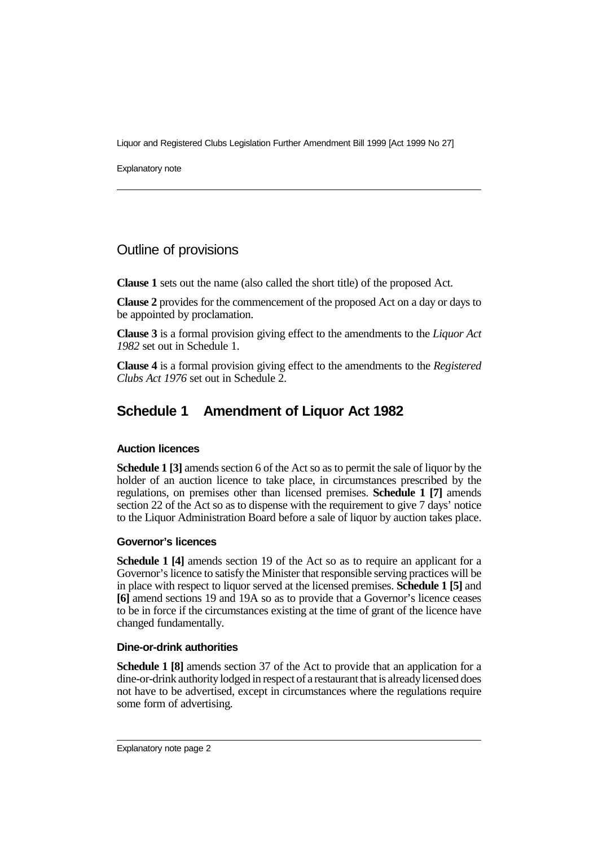Explanatory note

### Outline of provisions

**Clause 1** sets out the name (also called the short title) of the proposed Act.

**Clause 2** provides for the commencement of the proposed Act on a day or days to be appointed by proclamation.

**Clause 3** is a formal provision giving effect to the amendments to the *Liquor Act 1982* set out in Schedule 1.

**Clause 4** is a formal provision giving effect to the amendments to the *Registered Clubs Act 1976* set out in Schedule 2.

## **Schedule 1 Amendment of Liquor Act 1982**

#### **Auction licences**

**Schedule 1 [3]** amends section 6 of the Act so as to permit the sale of liquor by the holder of an auction licence to take place, in circumstances prescribed by the regulations, on premises other than licensed premises. **Schedule 1 [7]** amends section 22 of the Act so as to dispense with the requirement to give 7 days' notice to the Liquor Administration Board before a sale of liquor by auction takes place.

#### **Governor's licences**

**Schedule 1 [4]** amends section 19 of the Act so as to require an applicant for a Governor's licence to satisfy the Minister that responsible serving practices will be in place with respect to liquor served at the licensed premises. **Schedule 1 [5]** and **[6]** amend sections 19 and 19A so as to provide that a Governor's licence ceases to be in force if the circumstances existing at the time of grant of the licence have changed fundamentally.

#### **Dine-or-drink authorities**

**Schedule 1 [8]** amends section 37 of the Act to provide that an application for a dine-or-drink authority lodged in respect of a restaurant that is already licensed does not have to be advertised, except in circumstances where the regulations require some form of advertising.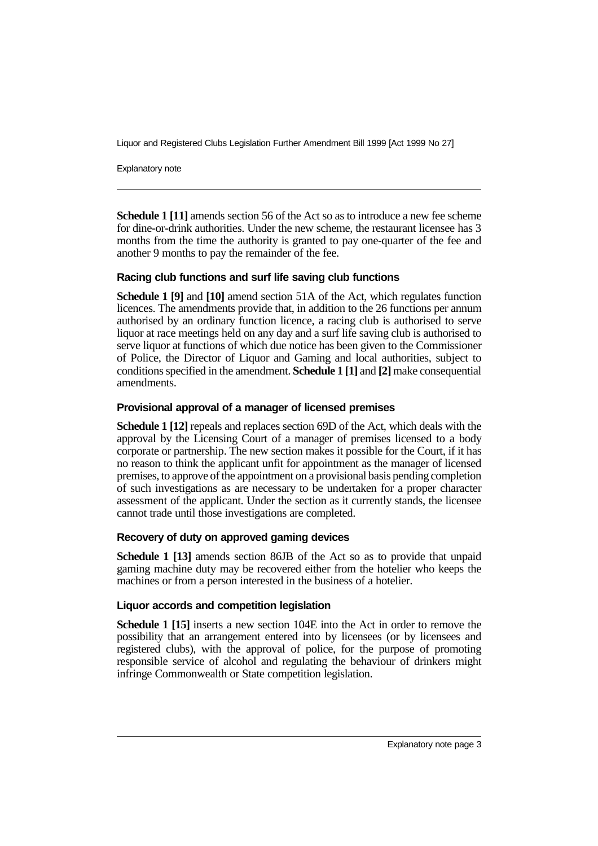Explanatory note

**Schedule 1 [11]** amends section 56 of the Act so as to introduce a new fee scheme for dine-or-drink authorities. Under the new scheme, the restaurant licensee has 3 months from the time the authority is granted to pay one-quarter of the fee and another 9 months to pay the remainder of the fee.

#### **Racing club functions and surf life saving club functions**

**Schedule 1 [9]** and **[10]** amend section 51A of the Act, which regulates function licences. The amendments provide that, in addition to the 26 functions per annum authorised by an ordinary function licence, a racing club is authorised to serve liquor at race meetings held on any day and a surf life saving club is authorised to serve liquor at functions of which due notice has been given to the Commissioner of Police, the Director of Liquor and Gaming and local authorities, subject to conditions specified in the amendment. **Schedule 1 [1]** and **[2]** make consequential amendments.

#### **Provisional approval of a manager of licensed premises**

**Schedule 1 [12]** repeals and replaces section 69D of the Act, which deals with the approval by the Licensing Court of a manager of premises licensed to a body corporate or partnership. The new section makes it possible for the Court, if it has no reason to think the applicant unfit for appointment as the manager of licensed premises, to approve of the appointment on a provisional basis pending completion of such investigations as are necessary to be undertaken for a proper character assessment of the applicant. Under the section as it currently stands, the licensee cannot trade until those investigations are completed.

#### **Recovery of duty on approved gaming devices**

**Schedule 1 [13]** amends section 86JB of the Act so as to provide that unpaid gaming machine duty may be recovered either from the hotelier who keeps the machines or from a person interested in the business of a hotelier.

#### **Liquor accords and competition legislation**

**Schedule 1 [15]** inserts a new section 104E into the Act in order to remove the possibility that an arrangement entered into by licensees (or by licensees and registered clubs), with the approval of police, for the purpose of promoting responsible service of alcohol and regulating the behaviour of drinkers might infringe Commonwealth or State competition legislation.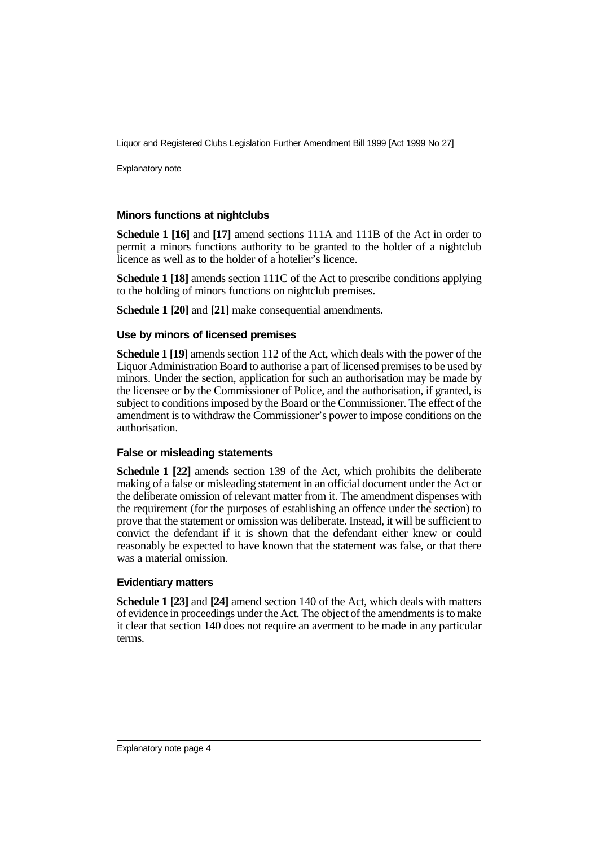Explanatory note

#### **Minors functions at nightclubs**

**Schedule 1 [16]** and **[17]** amend sections 111A and 111B of the Act in order to permit a minors functions authority to be granted to the holder of a nightclub licence as well as to the holder of a hotelier's licence.

**Schedule 1 [18]** amends section 111C of the Act to prescribe conditions applying to the holding of minors functions on nightclub premises.

**Schedule 1 [20]** and **[21]** make consequential amendments.

#### **Use by minors of licensed premises**

**Schedule 1 [19]** amends section 112 of the Act, which deals with the power of the Liquor Administration Board to authorise a part of licensed premises to be used by minors. Under the section, application for such an authorisation may be made by the licensee or by the Commissioner of Police, and the authorisation, if granted, is subject to conditions imposed by the Board or the Commissioner. The effect of the amendment is to withdraw the Commissioner's power to impose conditions on the authorisation.

#### **False or misleading statements**

**Schedule 1 [22]** amends section 139 of the Act, which prohibits the deliberate making of a false or misleading statement in an official document under the Act or the deliberate omission of relevant matter from it. The amendment dispenses with the requirement (for the purposes of establishing an offence under the section) to prove that the statement or omission was deliberate. Instead, it will be sufficient to convict the defendant if it is shown that the defendant either knew or could reasonably be expected to have known that the statement was false, or that there was a material omission.

#### **Evidentiary matters**

**Schedule 1 [23]** and **[24]** amend section 140 of the Act, which deals with matters of evidence in proceedings under the Act. The object of the amendments is to make it clear that section 140 does not require an averment to be made in any particular terms.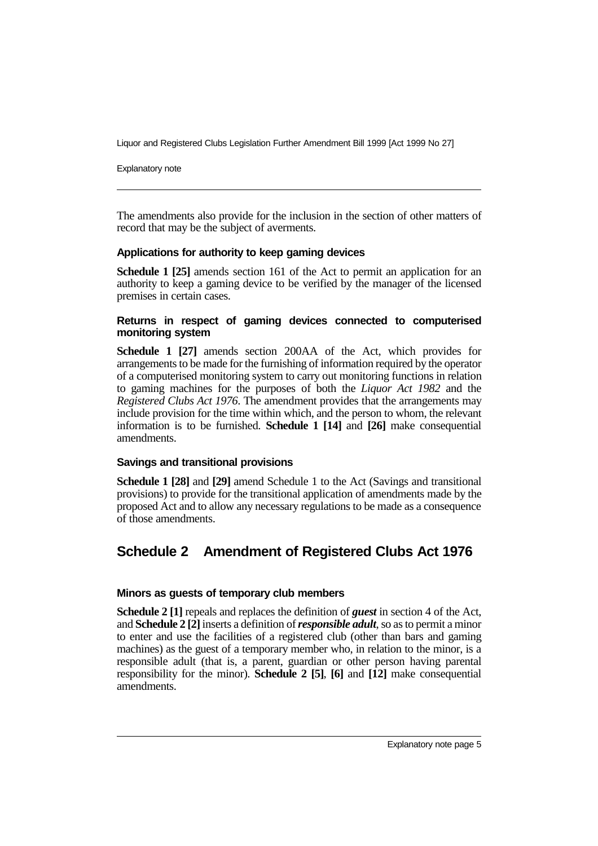Explanatory note

The amendments also provide for the inclusion in the section of other matters of record that may be the subject of averments.

#### **Applications for authority to keep gaming devices**

**Schedule 1 [25]** amends section 161 of the Act to permit an application for an authority to keep a gaming device to be verified by the manager of the licensed premises in certain cases.

#### **Returns in respect of gaming devices connected to computerised monitoring system**

**Schedule 1 [27]** amends section 200AA of the Act, which provides for arrangements to be made for the furnishing of information required by the operator of a computerised monitoring system to carry out monitoring functions in relation to gaming machines for the purposes of both the *Liquor Act 1982* and the *Registered Clubs Act 1976*. The amendment provides that the arrangements may include provision for the time within which, and the person to whom, the relevant information is to be furnished. **Schedule 1 [14]** and **[26]** make consequential amendments.

#### **Savings and transitional provisions**

**Schedule 1 [28]** and **[29]** amend Schedule 1 to the Act (Savings and transitional provisions) to provide for the transitional application of amendments made by the proposed Act and to allow any necessary regulations to be made as a consequence of those amendments.

## **Schedule 2 Amendment of Registered Clubs Act 1976**

#### **Minors as guests of temporary club members**

**Schedule 2 [1]** repeals and replaces the definition of *guest* in section 4 of the Act, and **Schedule 2 [2]** inserts a definition of *responsible adult*, so as to permit a minor to enter and use the facilities of a registered club (other than bars and gaming machines) as the guest of a temporary member who, in relation to the minor, is a responsible adult (that is, a parent, guardian or other person having parental responsibility for the minor). **Schedule 2 [5]**, **[6]** and **[12]** make consequential amendments.